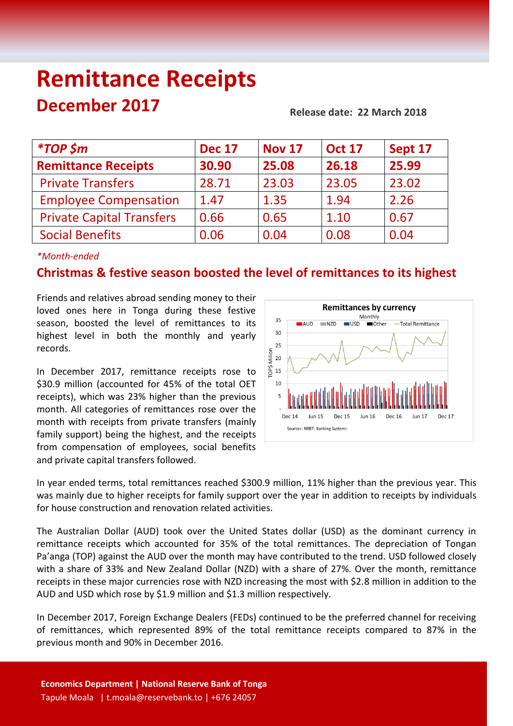# **Remittance Receipts December 2017 Release date: 22 March <sup>2018</sup>**

| <i>*TOP</i> \$m                  | <b>Dec 17</b> | <b>Nov 17</b> | <b>Oct 17</b> | Sept 17 |
|----------------------------------|---------------|---------------|---------------|---------|
| <b>Remittance Receipts</b>       | 30.90         | 25.08         | 26.18         | 25.99   |
| <b>Private Transfers</b>         | 28.71         | 23.03         | 23.05         | 23.02   |
| <b>Employee Compensation</b>     | 1.47          | 1.35          | 1.94          | 2.26    |
| <b>Private Capital Transfers</b> | 0.66          | 0.65          | 1.10          | 0.67    |
| <b>Social Benefits</b>           | 0.06          | 0.04          | 0.08          | 0.04    |

# *\*Month-ended*

# **Christmas & festive season boosted the level of remittances to its highest**

Friends and relatives abroad sending money to their loved ones here in Tonga during these festive season, boosted the level of remittances to its highest level in both the monthly and yearly records.

In December 2017, remittance receipts rose to \$30.9 million (accounted for 45% of the total OET receipts), which was 23% higher than the previous month. All categories of remittances rose over the month with receipts from private transfers (mainly family support) being the highest, and the receipts from compensation of employees, social benefits and private capital transfers followed.



In year ended terms, total remittances reached \$300.9 million, 11% higher than the previous year. This was mainly due to higher receipts for family support over the year in addition to receipts by individuals for house construction and renovation related activities.

The Australian Dollar (AUD) took over the United States dollar (USD) as the dominant currency in remittance receipts which accounted for 35% of the total remittances. The depreciation of Tongan Pa'anga (TOP) against the AUD over the month may have contributed to the trend. USD followed closely with a share of 33% and New Zealand Dollar (NZD) with a share of 27%. Over the month, remittance receipts in these major currencies rose with NZD increasing the most with \$2.8 million in addition to the AUD and USD which rose by \$1.9 million and \$1.3 million respectively.

In December 2017, Foreign Exchange Dealers (FEDs) continued to be the preferred channel for receiving of remittances, which represented 89% of the total remittance receipts compared to 87% in the previous month and 90% in December 2016.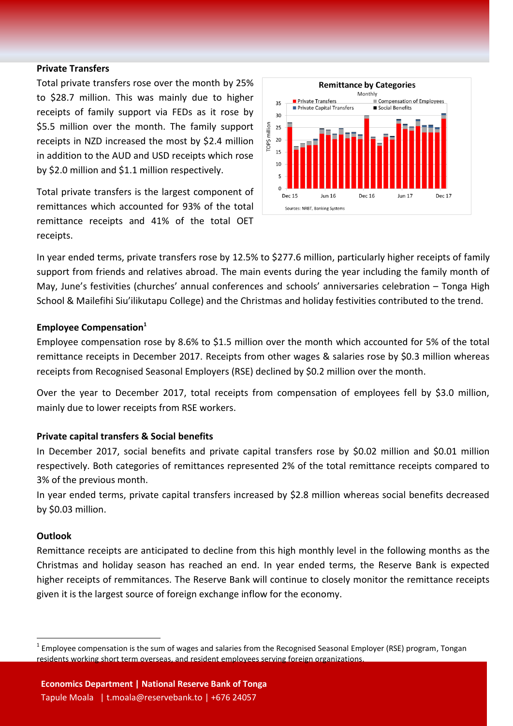#### **Private Transfers**

Total private transfers rose over the month by 25% to \$28.7 million. This was mainly due to higher receipts of family support via FEDs as it rose by \$5.5 million over the month. The family support receipts in NZD increased the most by \$2.4 million in addition to the AUD and USD receipts which rose by \$2.0 million and \$1.1 million respectively.

Total private transfers is the largest component of remittances which accounted for 93% of the total remittance receipts and 41% of the total OET receipts.



In year ended terms, private transfers rose by 12.5% to \$277.6 million, particularly higher receipts of family support from friends and relatives abroad. The main events during the year including the family month of May, June's festivities (churches' annual conferences and schools' anniversaries celebration – Tonga High School & Mailefihi Siu'ilikutapu College) and the Christmas and holiday festivities contributed to the trend.

#### **Employee Compensation<sup>1</sup>**

Employee compensation rose by 8.6% to \$1.5 million over the month which accounted for 5% of the total remittance receipts in December 2017. Receipts from other wages & salaries rose by \$0.3 million whereas receipts from Recognised Seasonal Employers (RSE) declined by \$0.2 million over the month.

Over the year to December 2017, total receipts from compensation of employees fell by \$3.0 million, mainly due to lower receipts from RSE workers.

# **Private capital transfers & Social benefits**

In December 2017, social benefits and private capital transfers rose by \$0.02 million and \$0.01 million respectively. Both categories of remittances represented 2% of the total remittance receipts compared to 3% of the previous month.

In year ended terms, private capital transfers increased by \$2.8 million whereas social benefits decreased by \$0.03 million.

#### **Outlook**

 $\overline{a}$ 

Remittance receipts are anticipated to decline from this high monthly level in the following months as the Christmas and holiday season has reached an end. In year ended terms, the Reserve Bank is expected higher receipts of remmitances. The Reserve Bank will continue to closely monitor the remittance receipts given it is the largest source of foreign exchange inflow for the economy.

 $^1$  Employee compensation is the sum of wages and salaries from the Recognised Seasonal Employer (RSE) program, Tongan residents working short term overseas, and resident employees serving foreign organizations.